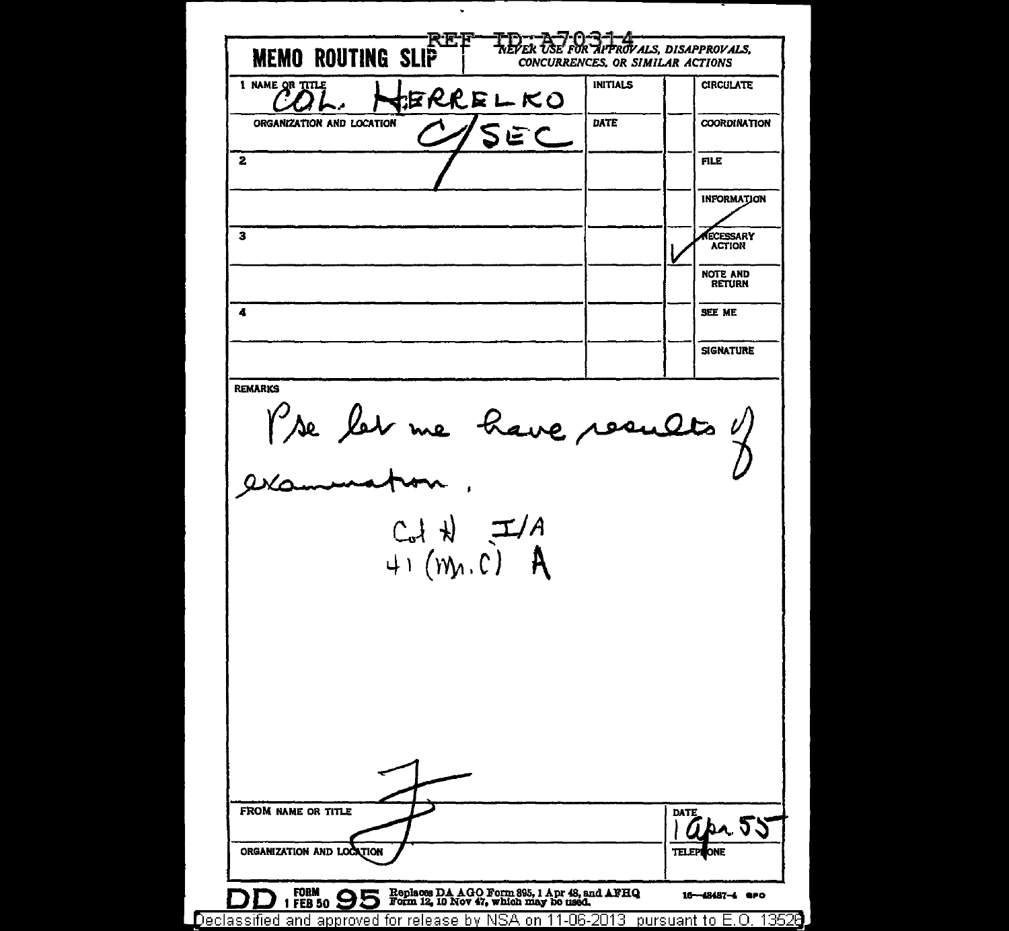$\ddot{\phantom{0}}$ APPROVALS, DISAPPROVALS, トレレッ だい **MEMO ROUTING SLIP** CONCURRENCES, OR SIMILAR ACTIONS 1 NAME OR TITLE **INITIALS CIRCULATE JERRELKO** ORGANIZATION AND LOCATION DATE **COORDINATION SEC**  $\overline{\mathbf{2}}$ **FILE INFORMATION**  $\mathbf{z}$ ECESSARY **ACTION NOTE AND RETURN** SEE ME  $\blacktriangle$ **SIGNATURE** l're let me have results y **REMARKS**  $C_{ol}H$   $\rightarrow$  A<br>41 (m. C) A FROM NAME OR TITLE DATE r 22 ORGANIZATION AND LOCATION TELER Replaces DA AGO Form 895, 1 Apr 48, and AFHQ<br>Form 12, 10 Nov 47, which may be used, **FORM**  $1$ FEB 50  $95$ 16-48487-4 aro  $\Box$ Declassified and approved for release by NSA on 11-06-2013 pursuant to E.O. 13528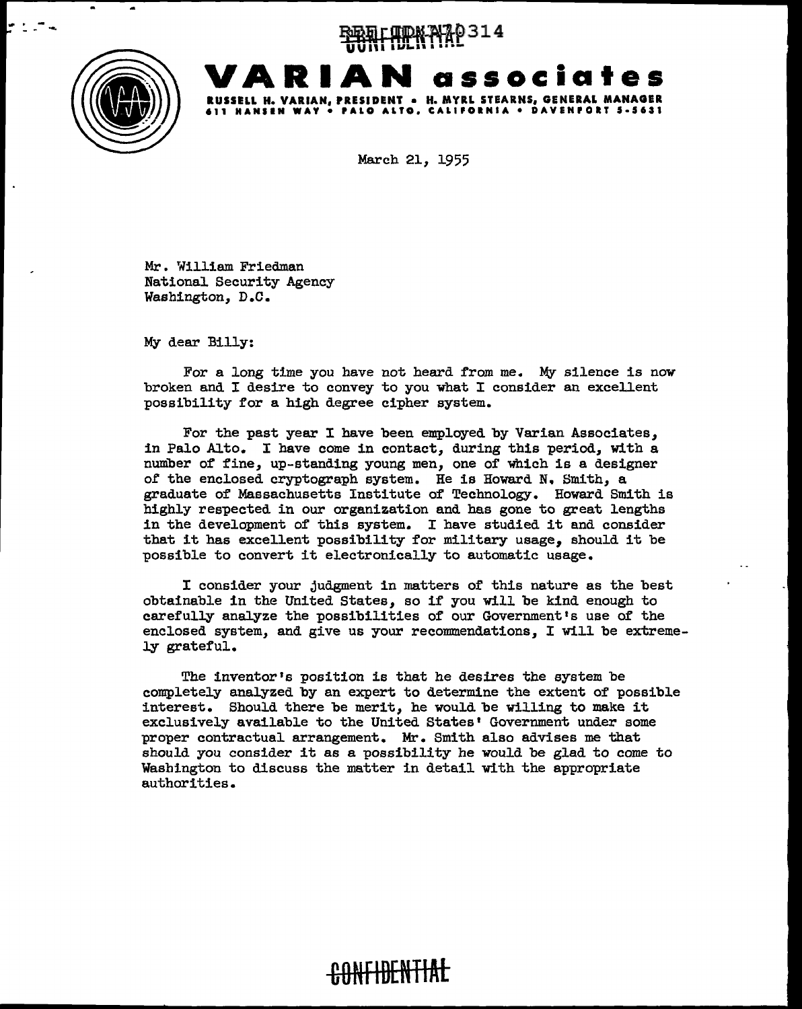... - --.... ~rlUPN..mP314 **U U 11** I I **Ul-111** I • • • -



**VARIAN associates RUSSELL H. VARIAN, PRESIDENT • H. MYRL STEARNS, GENERAL MANAGER 611 HANllN WAY• PALO ALTO. CALIPOINIA • DAVENPORT S·S631** 

March 21, 1955

Mr. William Friedman National. Security Agency Washington, D.C.

My dear Billy:

For a long time you have not heard from me. My silence is now broken and  $I$  desire to convey to you what  $I$  consider an excellent possibility for a high degree cipher system.

For the past year I have been employed by Varian Associates, in Palo Alto. I have come in contact, during this period, with a number of fine, up-standing young men, one of which is a designer of the enclosed cryptograph system. He is Howard N. Smith, a graduate of Massachusetts Institute of Technology. Howard Smith is highly respected in our organization and has gone to great lengths in the development of this system. I have studied it and consider that it has excellent possibility for military usage, should it be possible to convert it electronically to automatic usage.

I consider your judgment in matters of this nature as the best obtainable in the United States, so if you will. be kind enough to carefully analyze the possibilities of our Government's use of the enclosed system, and give us your recommendations, I will. be extremely grateful.

The inventor's position is that he desires the system be completely analyzed by an expert to determine the extent of possible interest. Should there be merit, he would be willing to make it exclusively available to the United States' Government under some proper contractual arrangement. Mr. Smith also advises me that should you consider it as a possibility he would be glad to come to Washington to discuss the matter in detail with the appropriate authorities.

**-&0NFIBENTIAt**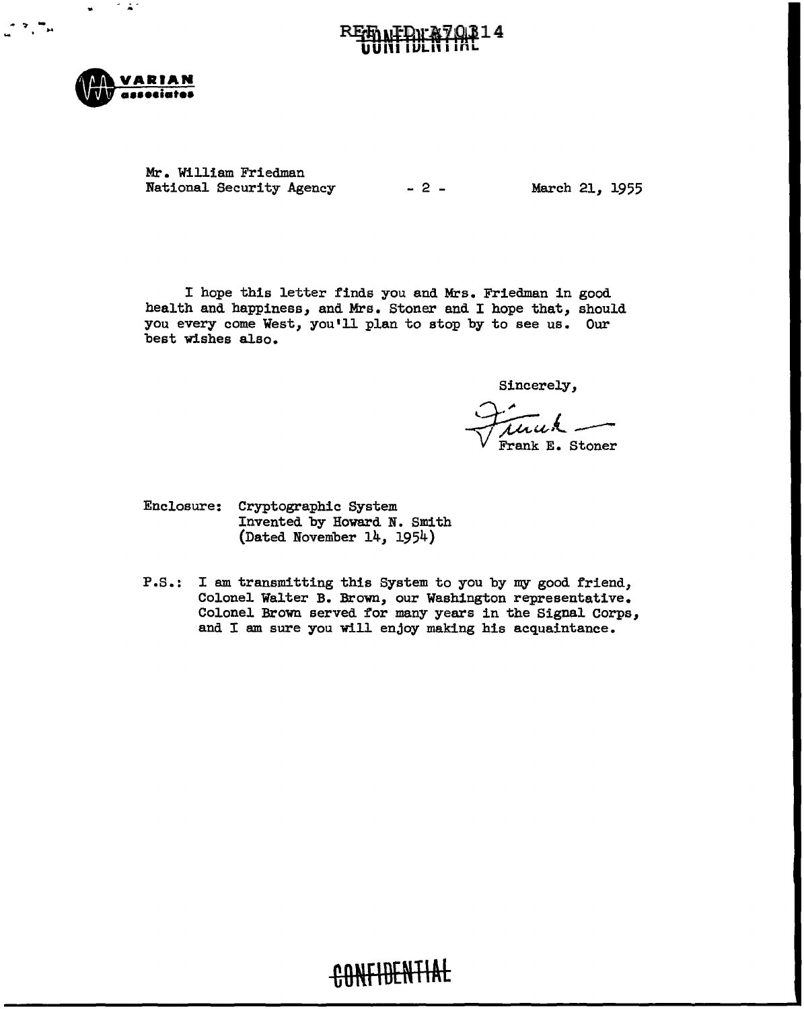

Mr. William Friedman National Security Agency - 2 - March 21, 1955

I hope this letter finds you and Mrs. Friedman in good health and happiness, and Mrs. Stoner and I hope that, should you every come West, you'll plan to stop by to see us. Our best wishes also.

Sincerely,

Frank E. Stoner

- Enclosure: Cryptographic System Invented by Howard N. Smith (Dated November 14, 1954)
- P.S.: I am transmitting this System to you by my good friend, Colonel Walter B. Brown, our Washington representative. Colonel Brown served for many years in the Signal Corps, and I am sure you will enjoy making his acquaintance.

# CONFIDENTIAL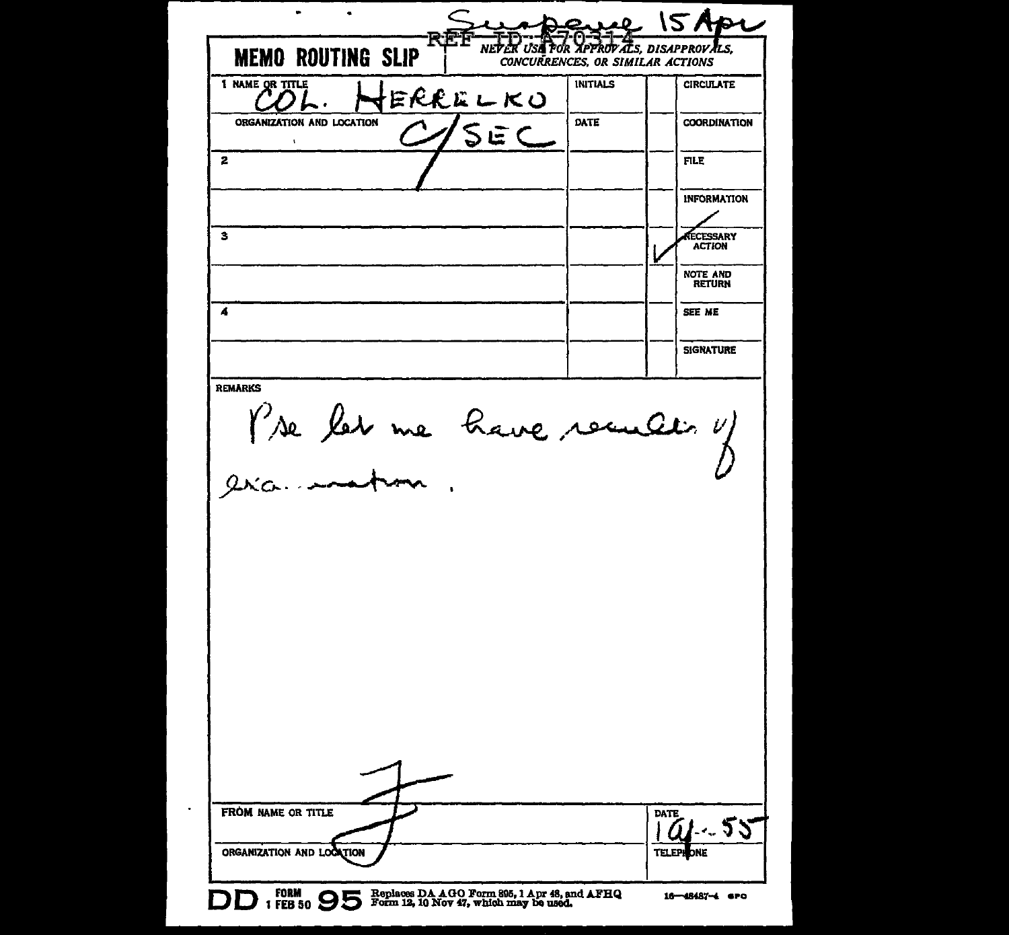$\blacksquare$ ÷.  $15A$ pr  $2.10$ NEVER USE FOR APPROVALS, DISAPPROVALS, **MEMO ROUTING SLIP** CONCURRENCES, OR SIMILAR ACTIONS INITIALS **CIRCULATE** JERRELKO ORGANIZATION AND LOCATION **DATE** COORDINATION SEC 2 FILE INFORMATION  $\overline{\mathbf{3}}$ ECESSARY **ACTION** NOTE AND RETURN *A*  SEE ME **SIGNATURE** ROMARKS<br>Pre let me have recultin y FROM NAME OR TITLE DATE  $\frac{1.55}{100}$ ORGANIZATION AND LOCATION TELEP  $\begin{array}{l} \text{FORM} \\ \text{I} \text{ FEB 50} \end{array} \bigoplus \bigoplus \text{Forn 12, 10 Nov 47, which may be used.}$ 16-48487-4 6PO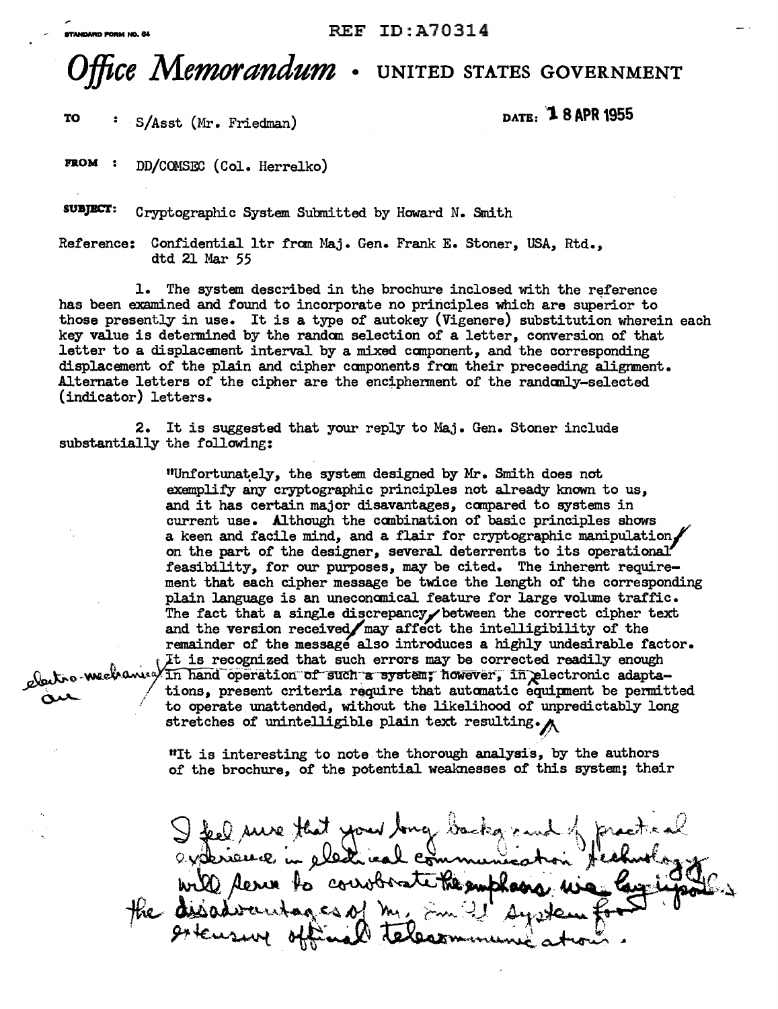## *Office Memorandum* **. UNITED sTATEs GovERNMENT**

**TO** S/Asst (Mr. Friedman) **DATE: "1. 8 APR 1955** 

**FROM :** DD/COMSEC (Col. Herrelko)

**SUBJBCT:** Cryptographic System Subnitted by Howard N. Smith

Reference: Confidential ltr fran Maj. Gen. Frank E. Stoner, USA, Rtd., dtd 21 Mar 55

1. The system described in the brochure inclosed with the reference has been examined and found to incorporate no principles which are superior to those presently in use. It is a type of autokey (Vigenere) substitution wherein each key value is detennined by the randan selection of a letter, conversion of that letter to a displacement interval by a mixed canponent, and the corresponding displacement of the plain and cipher components from their preceeding alignment. Alternate letters of the cipher are the encipherment of the randomly-selected (indicator) letters.

2. It is suggested that your reply to Maj. Gen. Stoner include substantially the following:

"Unfortuna~ely, the system designed by Mr. Smith does not exemplify any cryptographic principles not already lmown to us, and it has certain major disavantages, compared to systems in current use. Although the combination of basic principles shows a keen and facile mind, and a flair for cryptographic manipulation, on the part of the designer, several deterrents to its operational feasibility, for our purposes, may be cited. The inherent requirement that each cipher message be twice the length of the corresponding plain language is an uneconanical feature for large volume traffic. The fact that a single discrepancy between the correct cipher text and the version received $\sqrt{m}$ ay affect the intelligibility of the remainder of the message also introduces a highly undesirable factor. It is recognized that such errors may be corrected readily enough  $\frac{1}{\sqrt{N}}$ . We we we wave  $\frac{1}{\sqrt{N}}$  hand operation of such a system; however; in plectronic adapta-

with tions, present criteria require that automatic equipment be permitted to operate unattended, without the likelihood of unpredictably long stretches of unintelligible plain text resulting.

.·'

"It is interesting to note the thorough analysis, by the authors of the brochure, of the potential weaknesses of this system; their

I feel sure that your long backgrand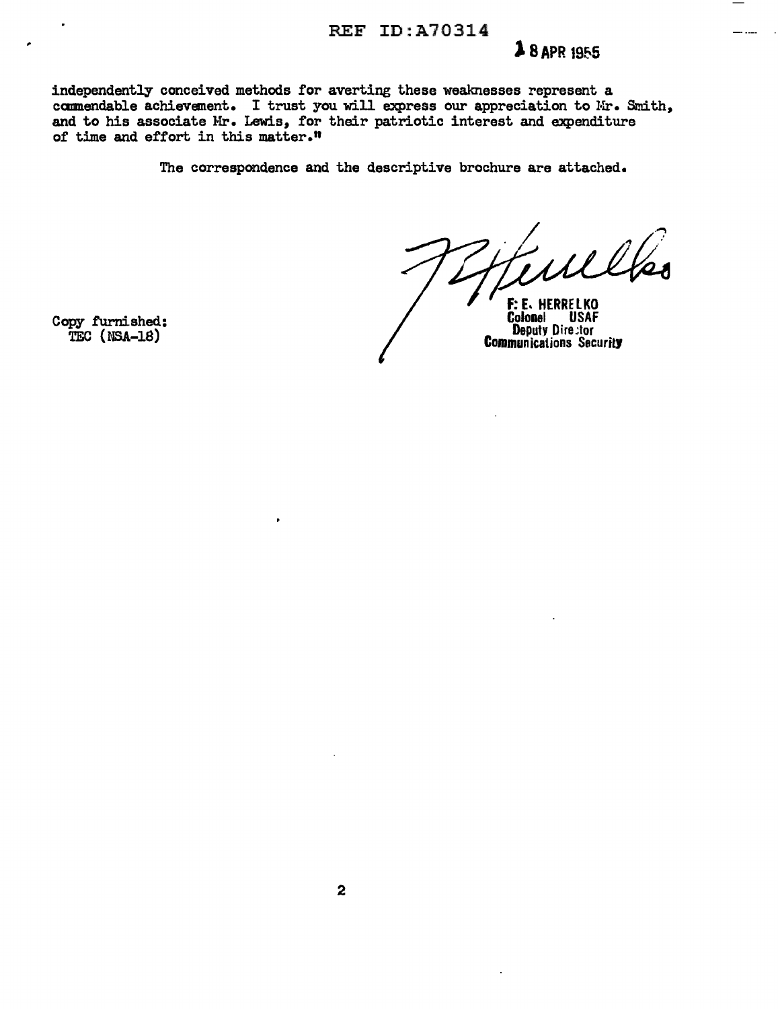#### REF ID:A70314

### **28 APR 1955**

independently conceived methods for averting these weaknesses represent a commendable achievement. I trust you will express our appreciation to Mr. Smith, and to his associate Mr. Lewis, for their patriotic interest and expenditure of time and effort in this matter."

The correspondence and the descriptive brochure are attached.

 $(1)$ 

F: E. HERRELKO Colonel **USAF Deputy Director Communications Security** 

Copy furnished: TEC (NSA-18)